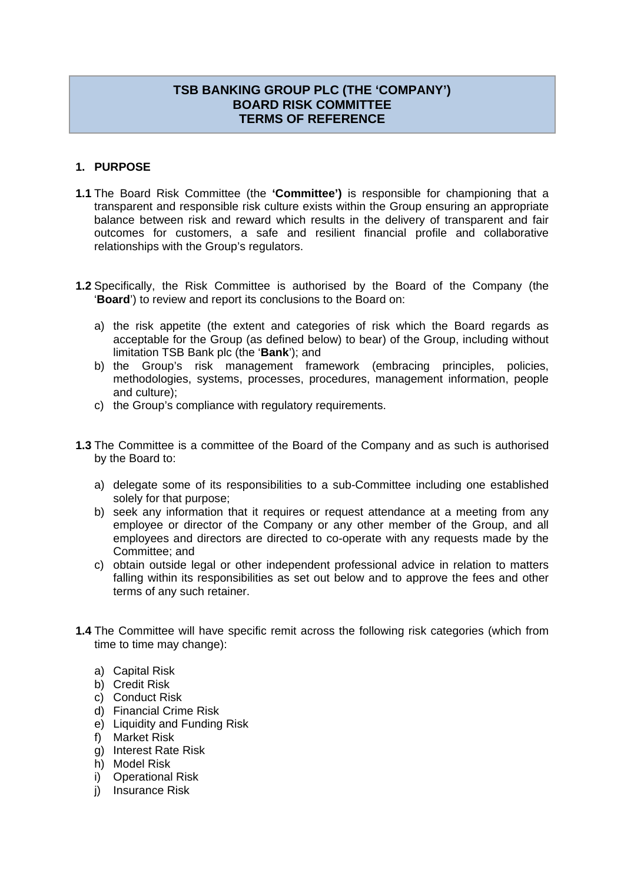# **TSB BANKING GROUP PLC (THE 'COMPANY') BOARD RISK COMMITTEE TERMS OF REFERENCE**

## **1. PURPOSE**

- **1.1** The Board Risk Committee (the **'Committee')** is responsible for championing that a transparent and responsible risk culture exists within the Group ensuring an appropriate balance between risk and reward which results in the delivery of transparent and fair outcomes for customers, a safe and resilient financial profile and collaborative relationships with the Group's regulators.
- **1.2** Specifically, the Risk Committee is authorised by the Board of the Company (the '**Board**') to review and report its conclusions to the Board on:
	- a) the risk appetite (the extent and categories of risk which the Board regards as acceptable for the Group (as defined below) to bear) of the Group, including without limitation TSB Bank plc (the '**Bank**'); and
	- b) the Group's risk management framework (embracing principles, policies, methodologies, systems, processes, procedures, management information, people and culture);
	- c) the Group's compliance with regulatory requirements.
- **1.3** The Committee is a committee of the Board of the Company and as such is authorised by the Board to:
	- a) delegate some of its responsibilities to a sub-Committee including one established solely for that purpose;
	- b) seek any information that it requires or request attendance at a meeting from any employee or director of the Company or any other member of the Group, and all employees and directors are directed to co-operate with any requests made by the Committee; and
	- c) obtain outside legal or other independent professional advice in relation to matters falling within its responsibilities as set out below and to approve the fees and other terms of any such retainer.
- **1.4** The Committee will have specific remit across the following risk categories (which from time to time may change):
	- a) Capital Risk
	- b) Credit Risk
	- c) Conduct Risk
	- d) Financial Crime Risk
	- e) Liquidity and Funding Risk
	- f) Market Risk
	- g) Interest Rate Risk
	- h) Model Risk
	- i) Operational Risk
	- j) Insurance Risk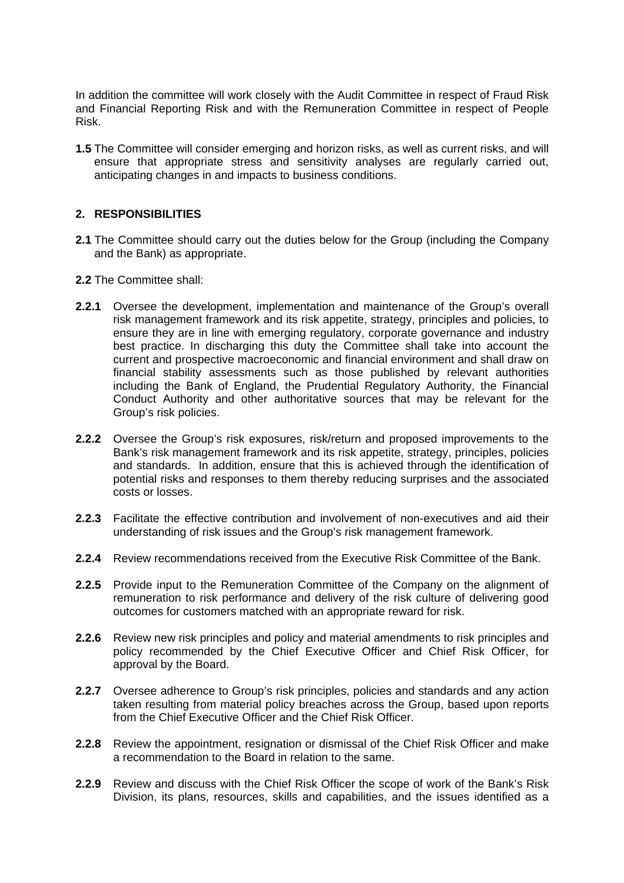In addition the committee will work closely with the Audit Committee in respect of Fraud Risk and Financial Reporting Risk and with the Remuneration Committee in respect of People Risk.

**1.5** The Committee will consider emerging and horizon risks, as well as current risks, and will ensure that appropriate stress and sensitivity analyses are regularly carried out, anticipating changes in and impacts to business conditions.

### **2. RESPONSIBILITIES**

- **2.1** The Committee should carry out the duties below for the Group (including the Company and the Bank) as appropriate.
- **2.2** The Committee shall:
- **2.2.1** Oversee the development, implementation and maintenance of the Group's overall risk management framework and its risk appetite, strategy, principles and policies, to ensure they are in line with emerging regulatory, corporate governance and industry best practice. In discharging this duty the Committee shall take into account the current and prospective macroeconomic and financial environment and shall draw on financial stability assessments such as those published by relevant authorities including the Bank of England, the Prudential Regulatory Authority, the Financial Conduct Authority and other authoritative sources that may be relevant for the Group's risk policies.
- **2.2.2** Oversee the Group's risk exposures, risk/return and proposed improvements to the Bank's risk management framework and its risk appetite, strategy, principles, policies and standards. In addition, ensure that this is achieved through the identification of potential risks and responses to them thereby reducing surprises and the associated costs or losses.
- **2.2.3** Facilitate the effective contribution and involvement of non-executives and aid their understanding of risk issues and the Group's risk management framework.
- **2.2.4** Review recommendations received from the Executive Risk Committee of the Bank.
- **2.2.5** Provide input to the Remuneration Committee of the Company on the alignment of remuneration to risk performance and delivery of the risk culture of delivering good outcomes for customers matched with an appropriate reward for risk.
- **2.2.6** Review new risk principles and policy and material amendments to risk principles and policy recommended by the Chief Executive Officer and Chief Risk Officer, for approval by the Board.
- **2.2.7** Oversee adherence to Group's risk principles, policies and standards and any action taken resulting from material policy breaches across the Group, based upon reports from the Chief Executive Officer and the Chief Risk Officer.
- **2.2.8** Review the appointment, resignation or dismissal of the Chief Risk Officer and make a recommendation to the Board in relation to the same.
- **2.2.9** Review and discuss with the Chief Risk Officer the scope of work of the Bank's Risk Division, its plans, resources, skills and capabilities, and the issues identified as a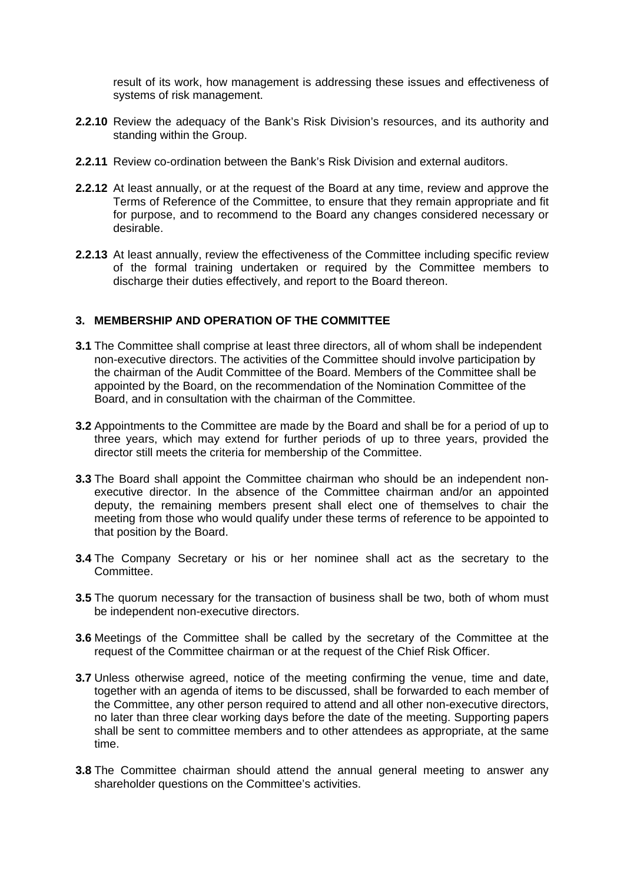result of its work, how management is addressing these issues and effectiveness of systems of risk management.

- **2.2.10** Review the adequacy of the Bank's Risk Division's resources, and its authority and standing within the Group.
- **2.2.11** Review co-ordination between the Bank's Risk Division and external auditors.
- **2.2.12** At least annually, or at the request of the Board at any time, review and approve the Terms of Reference of the Committee, to ensure that they remain appropriate and fit for purpose, and to recommend to the Board any changes considered necessary or desirable.
- **2.2.13** At least annually, review the effectiveness of the Committee including specific review of the formal training undertaken or required by the Committee members to discharge their duties effectively, and report to the Board thereon.

## **3. MEMBERSHIP AND OPERATION OF THE COMMITTEE**

- **3.1** The Committee shall comprise at least three directors, all of whom shall be independent non-executive directors. The activities of the Committee should involve participation by the chairman of the Audit Committee of the Board. Members of the Committee shall be appointed by the Board, on the recommendation of the Nomination Committee of the Board, and in consultation with the chairman of the Committee.
- **3.2** Appointments to the Committee are made by the Board and shall be for a period of up to three years, which may extend for further periods of up to three years, provided the director still meets the criteria for membership of the Committee.
- **3.3** The Board shall appoint the Committee chairman who should be an independent nonexecutive director. In the absence of the Committee chairman and/or an appointed deputy, the remaining members present shall elect one of themselves to chair the meeting from those who would qualify under these terms of reference to be appointed to that position by the Board.
- **3.4** The Company Secretary or his or her nominee shall act as the secretary to the Committee.
- **3.5** The quorum necessary for the transaction of business shall be two, both of whom must be independent non-executive directors.
- **3.6** Meetings of the Committee shall be called by the secretary of the Committee at the request of the Committee chairman or at the request of the Chief Risk Officer.
- **3.7** Unless otherwise agreed, notice of the meeting confirming the venue, time and date, together with an agenda of items to be discussed, shall be forwarded to each member of the Committee, any other person required to attend and all other non-executive directors, no later than three clear working days before the date of the meeting. Supporting papers shall be sent to committee members and to other attendees as appropriate, at the same time.
- **3.8** The Committee chairman should attend the annual general meeting to answer any shareholder questions on the Committee's activities.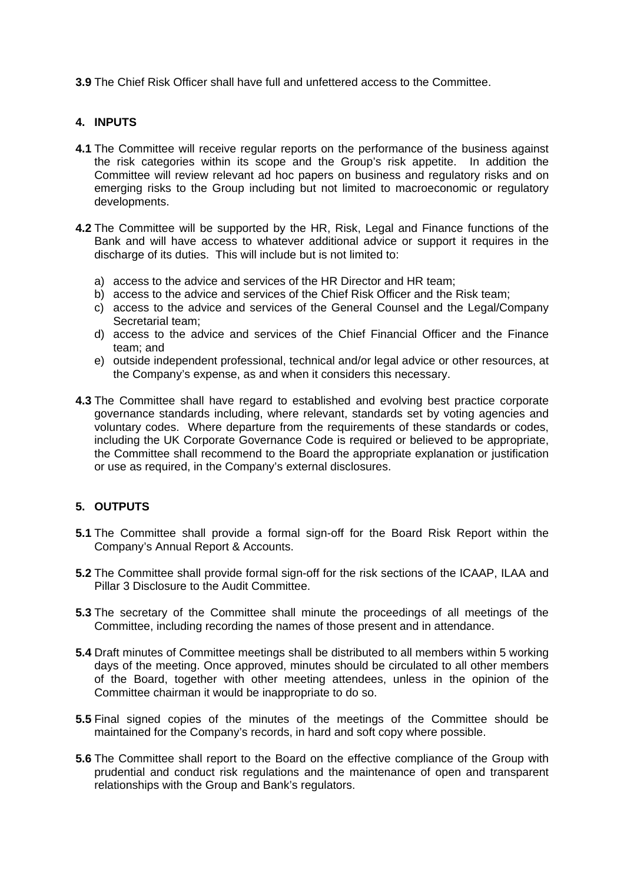**3.9** The Chief Risk Officer shall have full and unfettered access to the Committee.

### **4. INPUTS**

- **4.1** The Committee will receive regular reports on the performance of the business against the risk categories within its scope and the Group's risk appetite. In addition the Committee will review relevant ad hoc papers on business and regulatory risks and on emerging risks to the Group including but not limited to macroeconomic or regulatory developments.
- **4.2** The Committee will be supported by the HR, Risk, Legal and Finance functions of the Bank and will have access to whatever additional advice or support it requires in the discharge of its duties. This will include but is not limited to:
	- a) access to the advice and services of the HR Director and HR team;
	- b) access to the advice and services of the Chief Risk Officer and the Risk team;
	- c) access to the advice and services of the General Counsel and the Legal/Company Secretarial team;
	- d) access to the advice and services of the Chief Financial Officer and the Finance team; and
	- e) outside independent professional, technical and/or legal advice or other resources, at the Company's expense, as and when it considers this necessary.
- **4.3** The Committee shall have regard to established and evolving best practice corporate governance standards including, where relevant, standards set by voting agencies and voluntary codes. Where departure from the requirements of these standards or codes, including the UK Corporate Governance Code is required or believed to be appropriate, the Committee shall recommend to the Board the appropriate explanation or justification or use as required, in the Company's external disclosures.

# **5. OUTPUTS**

- **5.1** The Committee shall provide a formal sign-off for the Board Risk Report within the Company's Annual Report & Accounts.
- **5.2** The Committee shall provide formal sign-off for the risk sections of the ICAAP, ILAA and Pillar 3 Disclosure to the Audit Committee.
- **5.3** The secretary of the Committee shall minute the proceedings of all meetings of the Committee, including recording the names of those present and in attendance.
- **5.4** Draft minutes of Committee meetings shall be distributed to all members within 5 working days of the meeting. Once approved, minutes should be circulated to all other members of the Board, together with other meeting attendees, unless in the opinion of the Committee chairman it would be inappropriate to do so.
- **5.5** Final signed copies of the minutes of the meetings of the Committee should be maintained for the Company's records, in hard and soft copy where possible.
- **5.6** The Committee shall report to the Board on the effective compliance of the Group with prudential and conduct risk regulations and the maintenance of open and transparent relationships with the Group and Bank's regulators.